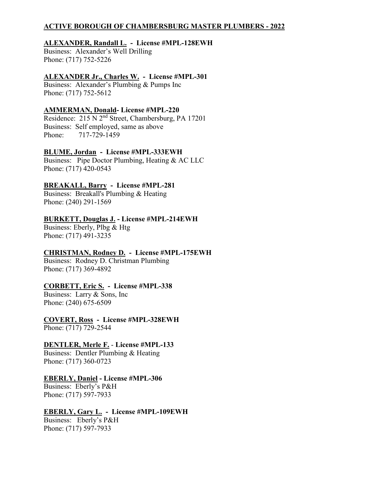## **ACTIVE BOROUGH OF CHAMBERSBURG MASTER PLUMBERS - 2022**

## **ALEXANDER, Randall L. - License #MPL-128EWH**

Business: Alexander's Well Drilling Phone: (717) 752-5226

## **ALEXANDER Jr., Charles W. - License #MPL-301**

Business: Alexander's Plumbing & Pumps Inc Phone: (717) 752-5612

## **AMMERMAN, Donald- License #MPL-220**

Residence: 215 N 2nd Street, Chambersburg, PA 17201 Business: Self employed, same as above Phone: 717-729-1459

## **BLUME, Jordan - License #MPL-333EWH**

Business: Pipe Doctor Plumbing, Heating & AC LLC Phone: (717) 420-0543

## **BREAKALL, Barry - License #MPL-281**

Business: Breakall's Plumbing & Heating Phone: (240) 291-1569

## **BURKETT, Douglas J. - License #MPL-214EWH**

Business: Eberly, Plbg & Htg Phone: (717) 491-3235

## **CHRISTMAN, Rodney D. - License #MPL-175EWH**

Business: Rodney D. Christman Plumbing Phone: (717) 369-4892

### **CORBETT, Eric S. - License #MPL-338**

Business: Larry & Sons, Inc Phone: (240) 675-6509

**COVERT, Ross - License #MPL-328EWH**

Phone: (717) 729-2544

### **DENTLER, Merle F.** - **License #MPL-133**

Business: Dentler Plumbing & Heating Phone: (717) 360-0723

## **EBERLY, Daniel - License #MPL-306**

Business: Eberly's P&H Phone: (717) 597-7933

## **EBERLY, Gary L. - License #MPL-109EWH**

Business: Eberly's P&H Phone: (717) 597-7933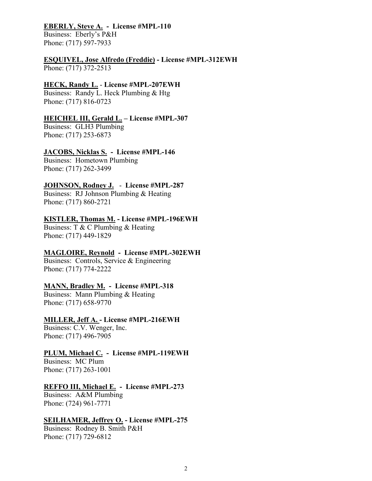#### **EBERLY, Steve A. - License #MPL-110**

Business: Eberly's P&H Phone: (717) 597-7933

#### **ESQUIVEL, Jose Alfredo (Freddie) - License #MPL-312EWH**  Phone: (717) 372-2513

#### **HECK, Randy L.** - **License #MPL-207EWH**

Business: Randy L. Heck Plumbing & Htg Phone: (717) 816-0723

### **HEICHEL III, Gerald L. – License #MPL-307**

Business: GLH3 Plumbing Phone: (717) 253-6873

### **JACOBS, Nicklas S. - License #MPL-146**

Business: Hometown Plumbing Phone: (717) 262-3499

#### **JOHNSON, Rodney J.** - **License #MPL-287**

Business: RJ Johnson Plumbing & Heating Phone: (717) 860-2721

#### **KISTLER, Thomas M. - License #MPL-196EWH**

Business: T & C Plumbing & Heating Phone: (717) 449-1829

### **MAGLOIRE, Reynold - License #MPL-302EWH**

Business: Controls, Service & Engineering Phone: (717) 774-2222

### **MANN, Bradley M. - License #MPL-318**

Business: Mann Plumbing & Heating Phone: (717) 658-9770

#### **MILLER, Jeff A. - License #MPL-216EWH**

Business: C.V. Wenger, Inc. Phone: (717) 496-7905

### **PLUM, Michael C. - License #MPL-119EWH**

Business: MC Plum Phone: (717) 263-1001

### **REFFO III, Michael E. - License #MPL-273**

Business: A&M Plumbing Phone: (724) 961-7771

### **SEILHAMER, Jeffrey O. - License #MPL-275**

Business: Rodney B. Smith P&H Phone: (717) 729-6812